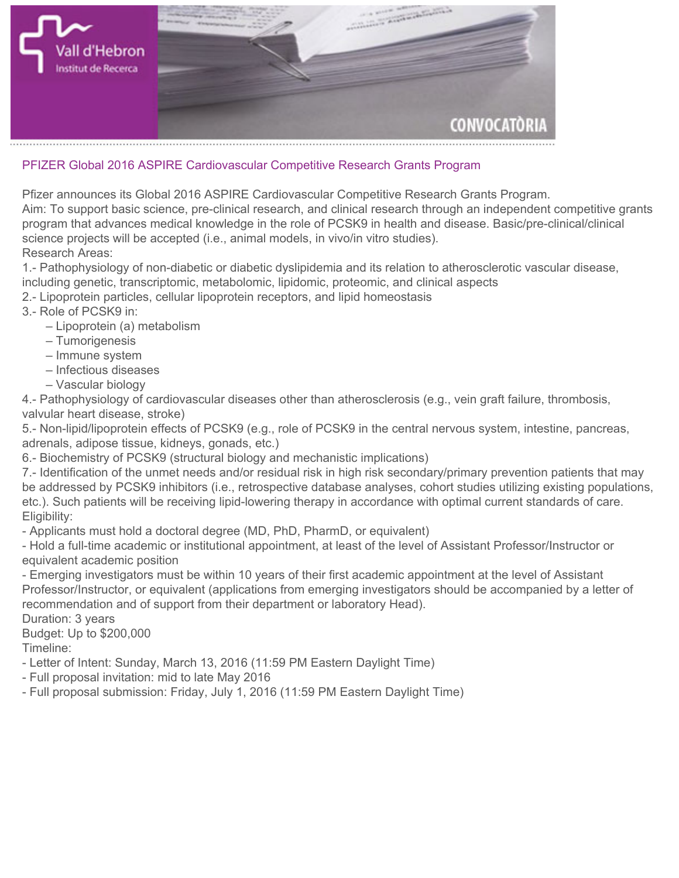

## **PFIZER Global 2016 ASPIRE Cardiovascular Competitive Research Grants Program**

**Pfizer announces its Global 2016 ASPIRE Cardiovascular Competitive Research Grants Program.**

**Aim: To support basic science, pre-clinical research, and clinical research through an independent competitive grants program that advances medical knowledge in the role of PCSK9 in health and disease. Basic/pre-clinical/clinical science projects will be accepted (i.e., animal models, in vivo/in vitro studies). Research Areas:**

**1.- Pathophysiology of non-diabetic or diabetic dyslipidemia and its relation to atherosclerotic vascular disease, including genetic, transcriptomic, metabolomic, lipidomic, proteomic, and clinical aspects**

- **2.- Lipoprotein particles, cellular lipoprotein receptors, and lipid homeostasis**
- **3.- Role of PCSK9 in:**
	- **Lipoprotein (a) metabolism**
	- **Tumorigenesis**
	- **Immune system**
	- **Infectious diseases**
	- **Vascular biology**

**4.- Pathophysiology of cardiovascular diseases other than atherosclerosis (e.g., vein graft failure, thrombosis, valvular heart disease, stroke)**

**5.- Non-lipid/lipoprotein effects of PCSK9 (e.g., role of PCSK9 in the central nervous system, intestine, pancreas, adrenals, adipose tissue, kidneys, gonads, etc.)**

**6.- Biochemistry of PCSK9 (structural biology and mechanistic implications)**

**7.- Identification of the unmet needs and/or residual risk in high risk secondary/primary prevention patients that may be addressed by PCSK9 inhibitors (i.e., retrospective database analyses, cohort studies utilizing existing populations, etc.). Such patients will be receiving lipid-lowering therapy in accordance with optimal current standards of care. Eligibility:**

**- Applicants must hold a doctoral degree (MD, PhD, PharmD, or equivalent)**

**- Hold a full-time academic or institutional appointment, at least of the level of Assistant Professor/Instructor or equivalent academic position**

**- Emerging investigators must be within 10 years of their first academic appointment at the level of Assistant Professor/Instructor, or equivalent (applications from emerging investigators should be accompanied by a letter of recommendation and of support from their department or laboratory Head).**

**Duration: 3 years**

**Budget: Up to \$200,000**

**Timeline:**

- **Letter of Intent: Sunday, March 13, 2016 (11:59 PM Eastern Daylight Time)**
- **Full proposal invitation: mid to late May 2016**
- **Full proposal submission: Friday, July 1, 2016 (11:59 PM Eastern Daylight Time)**